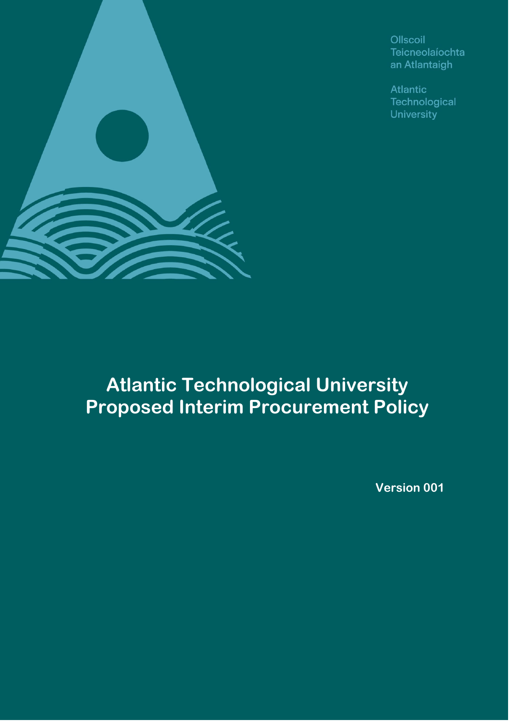

Ollscoil Teicneolaíochta an Atlantaigh

**Atlantic** Technological University

# **Atlantic Technological University Proposed Interim Procurement Policy**

**Version 001**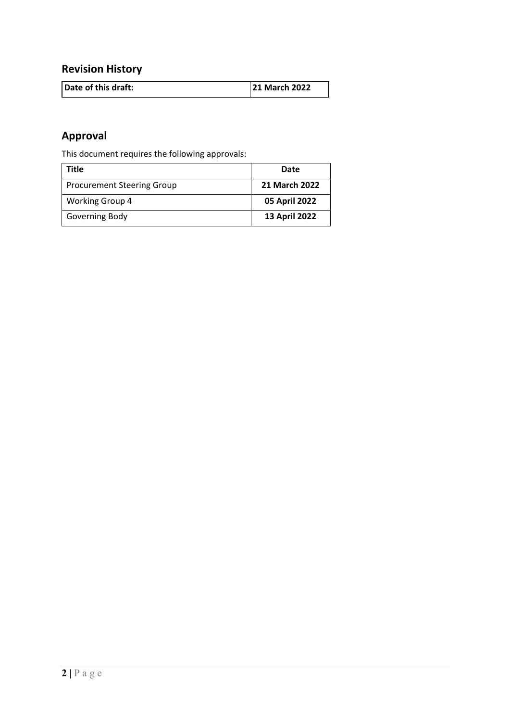# **Revision History**

| Date of this draft: | <b>21 March 2022</b> |
|---------------------|----------------------|

# **Approval**

This document requires the following approvals:

| Title                             | Date          |
|-----------------------------------|---------------|
| <b>Procurement Steering Group</b> | 21 March 2022 |
| <b>Working Group 4</b>            | 05 April 2022 |
| Governing Body                    | 13 April 2022 |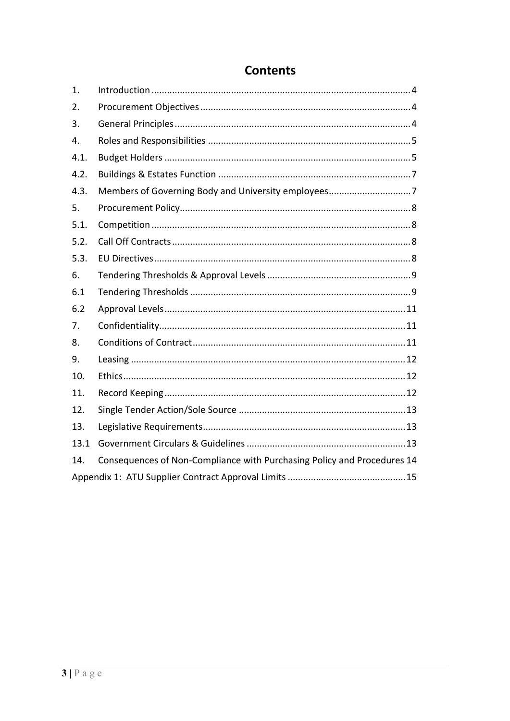| 1.   |                                                                         |
|------|-------------------------------------------------------------------------|
| 2.   |                                                                         |
| 3.   |                                                                         |
| 4.   |                                                                         |
| 4.1. |                                                                         |
| 4.2. |                                                                         |
| 4.3. |                                                                         |
| 5.   |                                                                         |
| 5.1. |                                                                         |
| 5.2. |                                                                         |
| 5.3. |                                                                         |
| 6.   |                                                                         |
| 6.1  |                                                                         |
| 6.2  |                                                                         |
| 7.   |                                                                         |
| 8.   |                                                                         |
| 9.   |                                                                         |
| 10.  |                                                                         |
| 11.  |                                                                         |
| 12.  |                                                                         |
| 13.  |                                                                         |
| 13.1 |                                                                         |
| 14.  | Consequences of Non-Compliance with Purchasing Policy and Procedures 14 |
|      |                                                                         |

# **Contents**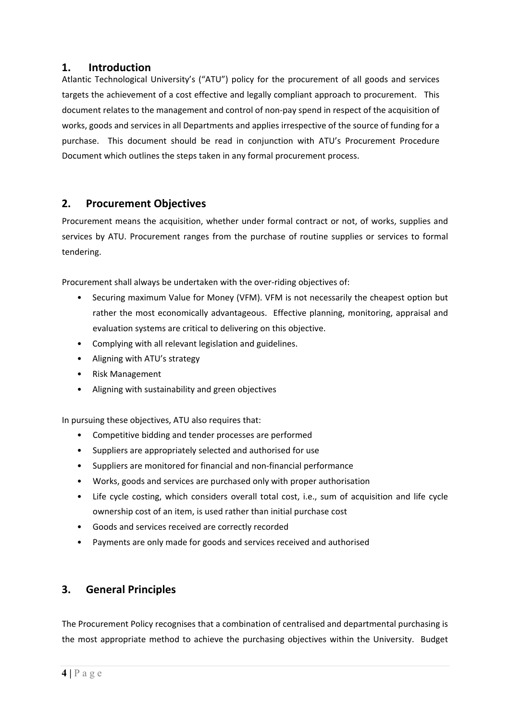#### **1. Introduction**

Atlantic Technological University's ("ATU") policy for the procurement of all goods and services targets the achievement of a cost effective and legally compliant approach to procurement. This document relates to the management and control of non‐pay spend in respect of the acquisition of works, goods and services in all Departments and applies irrespective of the source of funding for a purchase. This document should be read in conjunction with ATU's Procurement Procedure Document which outlines the steps taken in any formal procurement process.

#### **2. Procurement Objectives**

Procurement means the acquisition, whether under formal contract or not, of works, supplies and services by ATU. Procurement ranges from the purchase of routine supplies or services to formal tendering.

Procurement shall always be undertaken with the over‐riding objectives of:

- Securing maximum Value for Money (VFM). VFM is not necessarily the cheapest option but rather the most economically advantageous. Effective planning, monitoring, appraisal and evaluation systems are critical to delivering on this objective.
- Complying with all relevant legislation and guidelines.
- Aligning with ATU's strategy
- Risk Management
- Aligning with sustainability and green objectives

In pursuing these objectives, ATU also requires that:

- Competitive bidding and tender processes are performed
- Suppliers are appropriately selected and authorised for use
- Suppliers are monitored for financial and non-financial performance
- Works, goods and services are purchased only with proper authorisation
- Life cycle costing, which considers overall total cost, i.e., sum of acquisition and life cycle ownership cost of an item, is used rather than initial purchase cost
- Goods and services received are correctly recorded
- Payments are only made for goods and services received and authorised

#### **3. General Principles**

The Procurement Policy recognises that a combination of centralised and departmental purchasing is the most appropriate method to achieve the purchasing objectives within the University. Budget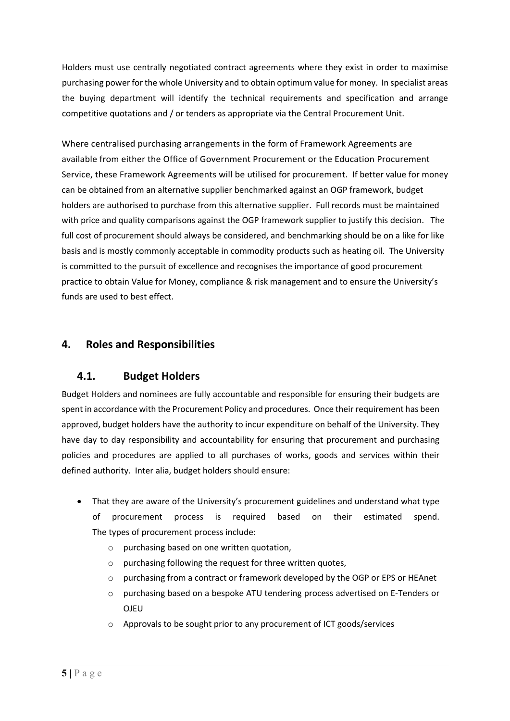Holders must use centrally negotiated contract agreements where they exist in order to maximise purchasing power for the whole University and to obtain optimum value for money. In specialist areas the buying department will identify the technical requirements and specification and arrange competitive quotations and / or tenders as appropriate via the Central Procurement Unit.

Where centralised purchasing arrangements in the form of Framework Agreements are available from either the Office of Government Procurement or the Education Procurement Service, these Framework Agreements will be utilised for procurement. If better value for money can be obtained from an alternative supplier benchmarked against an OGP framework, budget holders are authorised to purchase from this alternative supplier. Full records must be maintained with price and quality comparisons against the OGP framework supplier to justify this decision. The full cost of procurement should always be considered, and benchmarking should be on a like for like basis and is mostly commonly acceptable in commodity products such as heating oil. The University is committed to the pursuit of excellence and recognises the importance of good procurement practice to obtain Value for Money, compliance & risk management and to ensure the University's funds are used to best effect.

#### **4. Roles and Responsibilities**

#### **4.1. Budget Holders**

Budget Holders and nominees are fully accountable and responsible for ensuring their budgets are spent in accordance with the Procurement Policy and procedures. Once their requirement has been approved, budget holders have the authority to incur expenditure on behalf of the University. They have day to day responsibility and accountability for ensuring that procurement and purchasing policies and procedures are applied to all purchases of works, goods and services within their defined authority. Inter alia, budget holders should ensure:

- That they are aware of the University's procurement guidelines and understand what type of procurement process is required based on their estimated spend. The types of procurement process include:
	- o purchasing based on one written quotation,
	- o purchasing following the request for three written quotes,
	- o purchasing from a contract or framework developed by the OGP or EPS or HEAnet
	- o purchasing based on a bespoke ATU tendering process advertised on E‐Tenders or **OIFU**
	- o Approvals to be sought prior to any procurement of ICT goods/services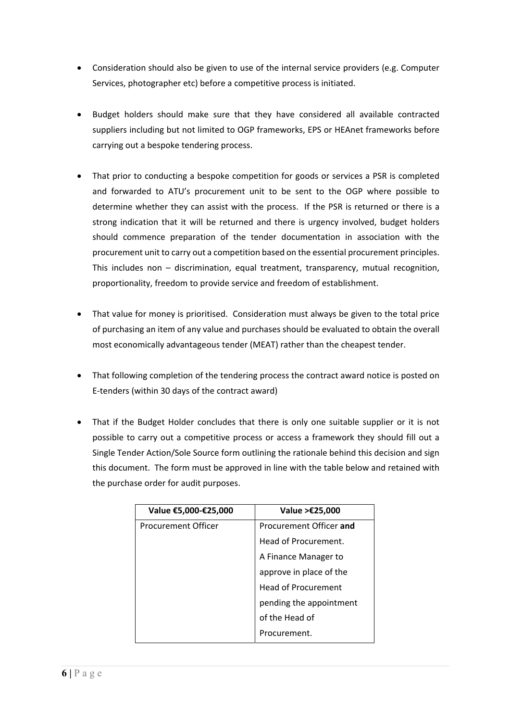- Consideration should also be given to use of the internal service providers (e.g. Computer Services, photographer etc) before a competitive process is initiated.
- Budget holders should make sure that they have considered all available contracted suppliers including but not limited to OGP frameworks, EPS or HEAnet frameworks before carrying out a bespoke tendering process.
- That prior to conducting a bespoke competition for goods or services a PSR is completed and forwarded to ATU's procurement unit to be sent to the OGP where possible to determine whether they can assist with the process. If the PSR is returned or there is a strong indication that it will be returned and there is urgency involved, budget holders should commence preparation of the tender documentation in association with the procurement unit to carry out a competition based on the essential procurement principles. This includes non – discrimination, equal treatment, transparency, mutual recognition, proportionality, freedom to provide service and freedom of establishment.
- That value for money is prioritised. Consideration must always be given to the total price of purchasing an item of any value and purchases should be evaluated to obtain the overall most economically advantageous tender (MEAT) rather than the cheapest tender.
- That following completion of the tendering process the contract award notice is posted on E‐tenders (within 30 days of the contract award)
- That if the Budget Holder concludes that there is only one suitable supplier or it is not possible to carry out a competitive process or access a framework they should fill out a Single Tender Action/Sole Source form outlining the rationale behind this decision and sign this document. The form must be approved in line with the table below and retained with the purchase order for audit purposes.

| Value €5,000-€25,000       | Value >€25,000          |
|----------------------------|-------------------------|
| <b>Procurement Officer</b> | Procurement Officer and |
|                            | Head of Procurement.    |
|                            | A Finance Manager to    |
|                            | approve in place of the |
|                            | Head of Procurement     |
|                            | pending the appointment |
|                            | of the Head of          |
|                            | Procurement.            |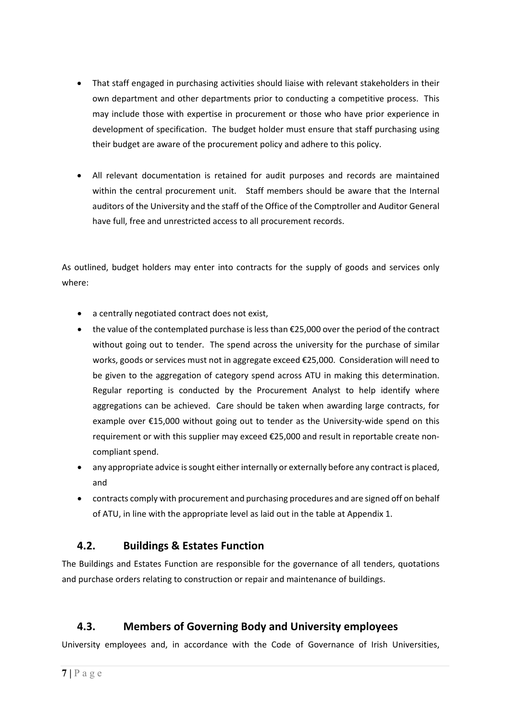- That staff engaged in purchasing activities should liaise with relevant stakeholders in their own department and other departments prior to conducting a competitive process. This may include those with expertise in procurement or those who have prior experience in development of specification. The budget holder must ensure that staff purchasing using their budget are aware of the procurement policy and adhere to this policy.
- All relevant documentation is retained for audit purposes and records are maintained within the central procurement unit. Staff members should be aware that the Internal auditors of the University and the staff of the Office of the Comptroller and Auditor General have full, free and unrestricted access to all procurement records.

As outlined, budget holders may enter into contracts for the supply of goods and services only where:

- a centrally negotiated contract does not exist,
- the value of the contemplated purchase is less than €25,000 over the period of the contract without going out to tender. The spend across the university for the purchase of similar works, goods or services must not in aggregate exceed €25,000. Consideration will need to be given to the aggregation of category spend across ATU in making this determination. Regular reporting is conducted by the Procurement Analyst to help identify where aggregations can be achieved. Care should be taken when awarding large contracts, for example over €15,000 without going out to tender as the University-wide spend on this requirement or with this supplier may exceed €25,000 and result in reportable create non‐ compliant spend.
- any appropriate advice issought either internally or externally before any contract is placed, and
- contracts comply with procurement and purchasing procedures and are signed off on behalf of ATU, in line with the appropriate level as laid out in the table at Appendix 1.

#### **4.2. Buildings & Estates Function**

The Buildings and Estates Function are responsible for the governance of all tenders, quotations and purchase orders relating to construction or repair and maintenance of buildings.

## **4.3. Members of Governing Body and University employees**

University employees and, in accordance with the Code of Governance of Irish Universities,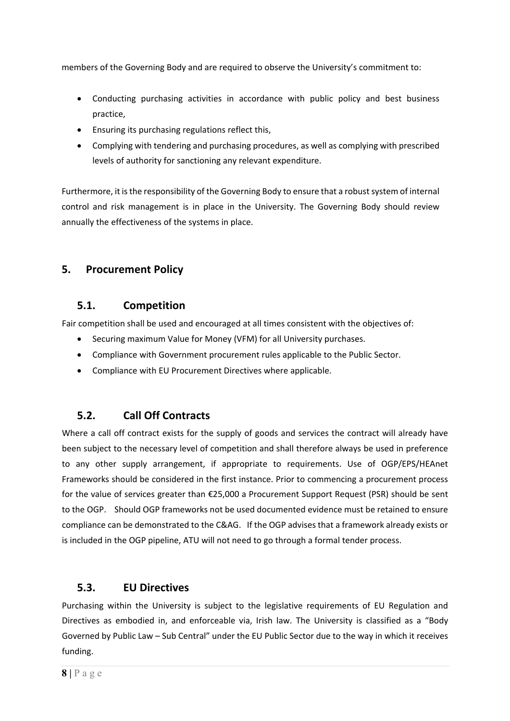members of the Governing Body and are required to observe the University's commitment to:

- Conducting purchasing activities in accordance with public policy and best business practice,
- Ensuring its purchasing regulations reflect this,
- Complying with tendering and purchasing procedures, as well as complying with prescribed levels of authority for sanctioning any relevant expenditure.

Furthermore, it is the responsibility of the Governing Body to ensure that a robust system of internal control and risk management is in place in the University. The Governing Body should review annually the effectiveness of the systems in place.

#### **5. Procurement Policy**

#### **5.1. Competition**

Fair competition shall be used and encouraged at all times consistent with the objectives of:

- Securing maximum Value for Money (VFM) for all University purchases.
- Compliance with Government procurement rules applicable to the Public Sector.
- Compliance with EU Procurement Directives where applicable.

#### **5.2. Call Off Contracts**

Where a call off contract exists for the supply of goods and services the contract will already have been subject to the necessary level of competition and shall therefore always be used in preference to any other supply arrangement, if appropriate to requirements. Use of OGP/EPS/HEAnet Frameworks should be considered in the first instance. Prior to commencing a procurement process for the value of services greater than €25,000 a Procurement Support Request (PSR) should be sent to the OGP. Should OGP frameworks not be used documented evidence must be retained to ensure compliance can be demonstrated to the C&AG. If the OGP advises that a framework already exists or is included in the OGP pipeline, ATU will not need to go through a formal tender process.

#### **5.3. EU Directives**

Purchasing within the University is subject to the legislative requirements of EU Regulation and Directives as embodied in, and enforceable via, Irish law. The University is classified as a "Body Governed by Public Law – Sub Central" under the EU Public Sector due to the way in which it receives funding.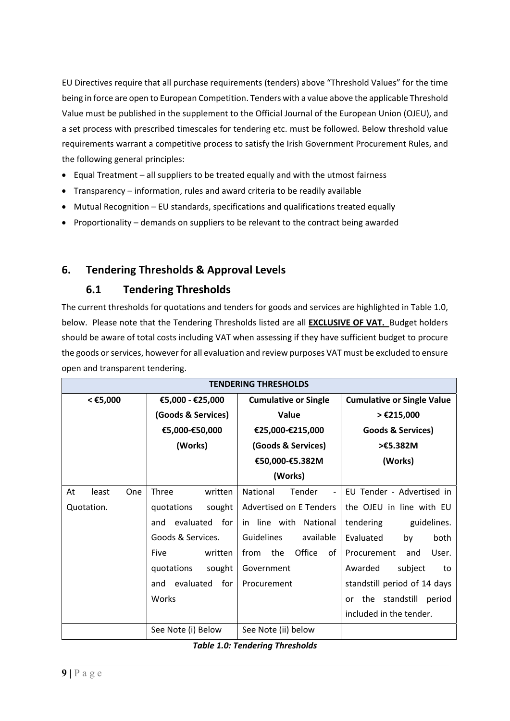EU Directives require that all purchase requirements (tenders) above "Threshold Values" for the time being in force are open to European Competition. Tenders with a value above the applicable Threshold Value must be published in the supplement to the Official Journal of the European Union (OJEU), and a set process with prescribed timescales for tendering etc. must be followed. Below threshold value requirements warrant a competitive process to satisfy the Irish Government Procurement Rules, and the following general principles:

- Equal Treatment all suppliers to be treated equally and with the utmost fairness
- Transparency information, rules and award criteria to be readily available
- Mutual Recognition EU standards, specifications and qualifications treated equally
- Proportionality demands on suppliers to be relevant to the contract being awarded

### **6. Tendering Thresholds & Approval Levels**

### **6.1 Tendering Thresholds**

The current thresholds for quotations and tenders for goods and services are highlighted in Table 1.0, below. Please note that the Tendering Thresholds listed are all **EXCLUSIVE OF VAT.** Budget holders should be aware of total costs including VAT when assessing if they have sufficient budget to procure the goods or services, however for all evaluation and review purposes VAT must be excluded to ensure open and transparent tendering.

| <b>TENDERING THRESHOLDS</b> |                         |                                                |                                   |
|-----------------------------|-------------------------|------------------------------------------------|-----------------------------------|
| < €5,000                    | €5,000 - €25,000        | <b>Cumulative or Single</b>                    | <b>Cumulative or Single Value</b> |
|                             | (Goods & Services)      | Value                                          | > €215,000                        |
|                             | €5,000-€50,000          | €25,000-€215,000                               | <b>Goods &amp; Services)</b>      |
|                             | (Works)                 | (Goods & Services)                             | >€5.382M                          |
|                             |                         | €50,000-€5.382M                                | (Works)                           |
|                             |                         | (Works)                                        |                                   |
| At<br>least<br>One          | Three<br>written        | National<br>Tender<br>$\overline{\phantom{a}}$ | EU Tender - Advertised in         |
| Quotation.                  | quotations<br>sought    | Advertised on E Tenders                        | the OJEU in line with EU          |
|                             | for<br>evaluated<br>and | in line with National                          | tendering<br>guidelines.          |
|                             | Goods & Services.       | <b>Guidelines</b><br>available                 | Evaluated<br>by<br>both           |
|                             | Five<br>written         | Office<br>from<br>the<br>of                    | Procurement<br>User.<br>and       |
|                             | quotations<br>sought    | Government                                     | subject<br>Awarded<br>to          |
|                             | evaluated<br>for<br>and | Procurement                                    | standstill period of 14 days      |
|                             | Works                   |                                                | the standstill<br>period<br>or    |
|                             |                         |                                                | included in the tender.           |
|                             | See Note (i) Below      | See Note (ii) below                            |                                   |

|  |  |  | <b>Table 1.0: Tendering Thresholds</b> |
|--|--|--|----------------------------------------|
|--|--|--|----------------------------------------|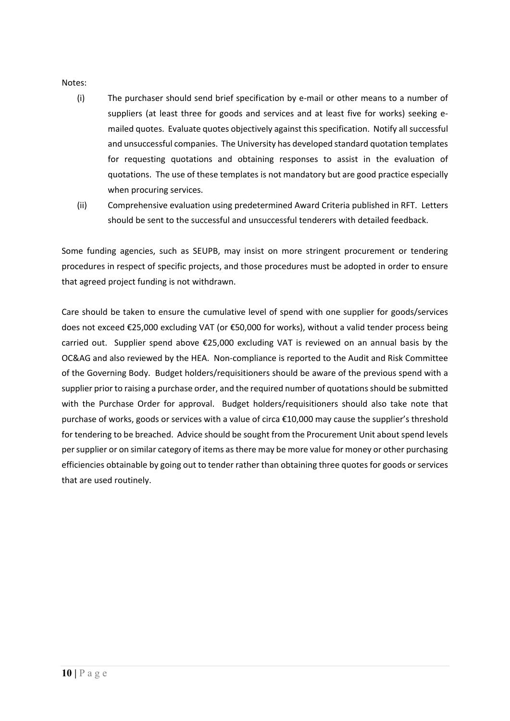#### Notes:

- (i) The purchaser should send brief specification by e‐mail or other means to a number of suppliers (at least three for goods and services and at least five for works) seeking emailed quotes. Evaluate quotes objectively against thisspecification. Notify all successful and unsuccessful companies. The University has developed standard quotation templates for requesting quotations and obtaining responses to assist in the evaluation of quotations. The use of these templates is not mandatory but are good practice especially when procuring services.
- (ii) Comprehensive evaluation using predetermined Award Criteria published in RFT. Letters should be sent to the successful and unsuccessful tenderers with detailed feedback.

Some funding agencies, such as SEUPB, may insist on more stringent procurement or tendering procedures in respect of specific projects, and those procedures must be adopted in order to ensure that agreed project funding is not withdrawn.

Care should be taken to ensure the cumulative level of spend with one supplier for goods/services does not exceed €25,000 excluding VAT (or €50,000 for works), without a valid tender process being carried out. Supplier spend above  $\epsilon$ 25,000 excluding VAT is reviewed on an annual basis by the OC&AG and also reviewed by the HEA. Non‐compliance is reported to the Audit and Risk Committee of the Governing Body. Budget holders/requisitioners should be aware of the previous spend with a supplier prior to raising a purchase order, and the required number of quotations should be submitted with the Purchase Order for approval. Budget holders/requisitioners should also take note that purchase of works, goods or services with a value of circa €10,000 may cause the supplier's threshold for tendering to be breached. Advice should be sought from the Procurement Unit about spend levels persupplier or on similar category of items asthere may be more value for money or other purchasing efficiencies obtainable by going out to tender rather than obtaining three quotes for goods or services that are used routinely.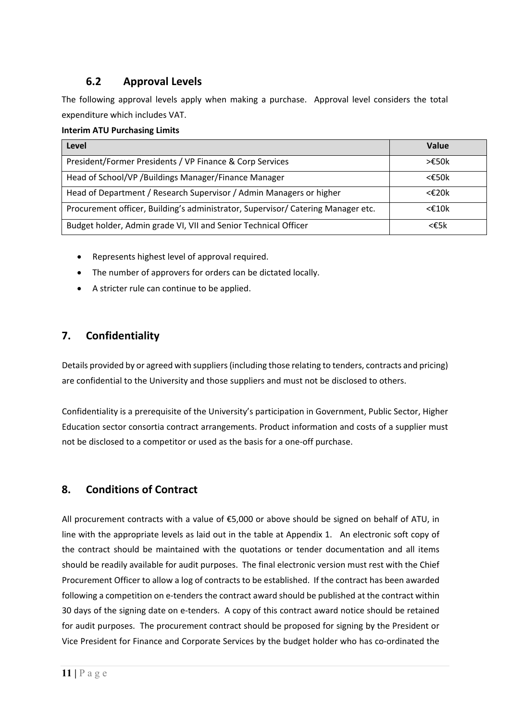## **6.2 Approval Levels**

The following approval levels apply when making a purchase. Approval level considers the total expenditure which includes VAT.

#### **Interim ATU Purchasing Limits**

| Level                                                                            | Value              |
|----------------------------------------------------------------------------------|--------------------|
| President/Former Presidents / VP Finance & Corp Services                         | >£50k              |
| Head of School/VP / Buildings Manager/Finance Manager                            | $<\epsilon$ 50k    |
| Head of Department / Research Supervisor / Admin Managers or higher              | $<\epsilon$ 20 $k$ |
| Procurement officer, Building's administrator, Supervisor/ Catering Manager etc. | $<$ £10 $k$        |
| Budget holder, Admin grade VI, VII and Senior Technical Officer                  | <€5k               |

- Represents highest level of approval required.
- The number of approvers for orders can be dictated locally.
- A stricter rule can continue to be applied.

### **7. Confidentiality**

Details provided by or agreed with suppliers(including those relating to tenders, contracts and pricing) are confidential to the University and those suppliers and must not be disclosed to others.

Confidentiality is a prerequisite of the University's participation in Government, Public Sector, Higher Education sector consortia contract arrangements. Product information and costs of a supplier must not be disclosed to a competitor or used as the basis for a one‐off purchase.

#### **8. Conditions of Contract**

All procurement contracts with a value of  $\epsilon$ 5,000 or above should be signed on behalf of ATU, in line with the appropriate levels as laid out in the table at Appendix 1. An electronic soft copy of the contract should be maintained with the quotations or tender documentation and all items should be readily available for audit purposes. The final electronic version must rest with the Chief Procurement Officer to allow a log of contracts to be established. If the contract has been awarded following a competition on e‐tenders the contract award should be published at the contract within 30 days of the signing date on e-tenders. A copy of this contract award notice should be retained for audit purposes. The procurement contract should be proposed for signing by the President or Vice President for Finance and Corporate Services by the budget holder who has co‐ordinated the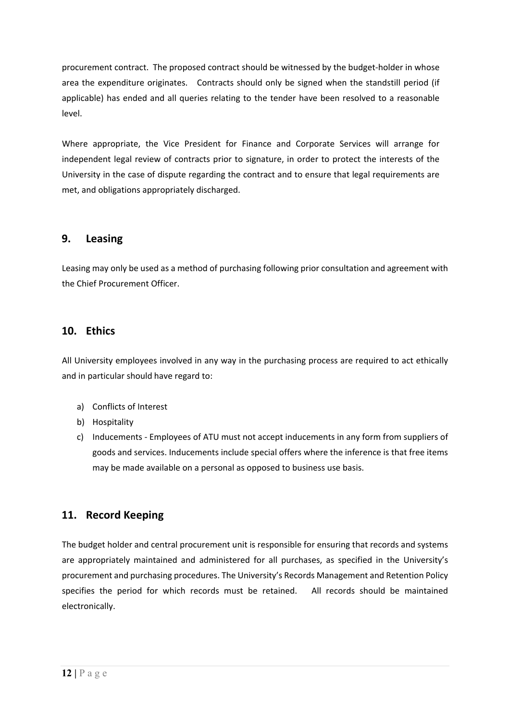procurement contract. The proposed contract should be witnessed by the budget-holder in whose area the expenditure originates. Contracts should only be signed when the standstill period (if applicable) has ended and all queries relating to the tender have been resolved to a reasonable level.

Where appropriate, the Vice President for Finance and Corporate Services will arrange for independent legal review of contracts prior to signature, in order to protect the interests of the University in the case of dispute regarding the contract and to ensure that legal requirements are met, and obligations appropriately discharged.

#### **9. Leasing**

Leasing may only be used as a method of purchasing following prior consultation and agreement with the Chief Procurement Officer.

#### **10. Ethics**

All University employees involved in any way in the purchasing process are required to act ethically and in particular should have regard to:

- a) Conflicts of Interest
- b) Hospitality
- c) Inducements ‐ Employees of ATU must not accept inducements in any form from suppliers of goods and services. Inducements include special offers where the inference is that free items may be made available on a personal as opposed to business use basis.

#### **11. Record Keeping**

The budget holder and central procurement unit is responsible for ensuring that records and systems are appropriately maintained and administered for all purchases, as specified in the University's procurement and purchasing procedures. The University's Records Management and Retention Policy specifies the period for which records must be retained. All records should be maintained electronically.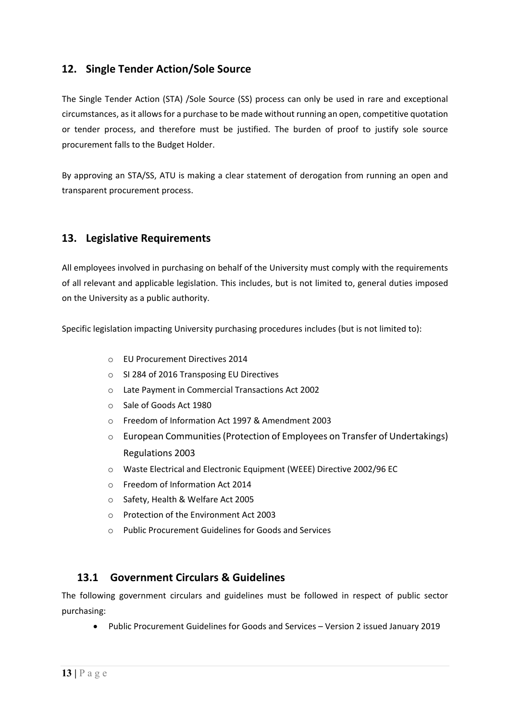#### **12. Single Tender Action/Sole Source**

The Single Tender Action (STA) /Sole Source (SS) process can only be used in rare and exceptional circumstances, asit allowsfor a purchase to be made without running an open, competitive quotation or tender process, and therefore must be justified. The burden of proof to justify sole source procurement falls to the Budget Holder.

By approving an STA/SS, ATU is making a clear statement of derogation from running an open and transparent procurement process.

#### **13. Legislative Requirements**

All employees involved in purchasing on behalf of the University must comply with the requirements of all relevant and applicable legislation. This includes, but is not limited to, general duties imposed on the University as a public authority.

Specific legislation impacting University purchasing procedures includes (but is not limited to):

- o EU Procurement Directives 2014
- o SI 284 of 2016 Transposing EU Directives
- o Late Payment in Commercial Transactions Act 2002
- o Sale of Goods Act 1980
- o Freedom of Information Act 1997 & Amendment 2003
- $\circ$  European Communities (Protection of Employees on Transfer of Undertakings) Regulations 2003
- o Waste Electrical and Electronic Equipment (WEEE) Directive 2002/96 EC
- o Freedom of Information Act 2014
- o Safety, Health & Welfare Act 2005
- o Protection of the Environment Act 2003
- o Public Procurement Guidelines for Goods and Services

#### **13.1 Government Circulars & Guidelines**

The following government circulars and guidelines must be followed in respect of public sector purchasing:

Public Procurement Guidelines for Goods and Services – Version 2 issued January 2019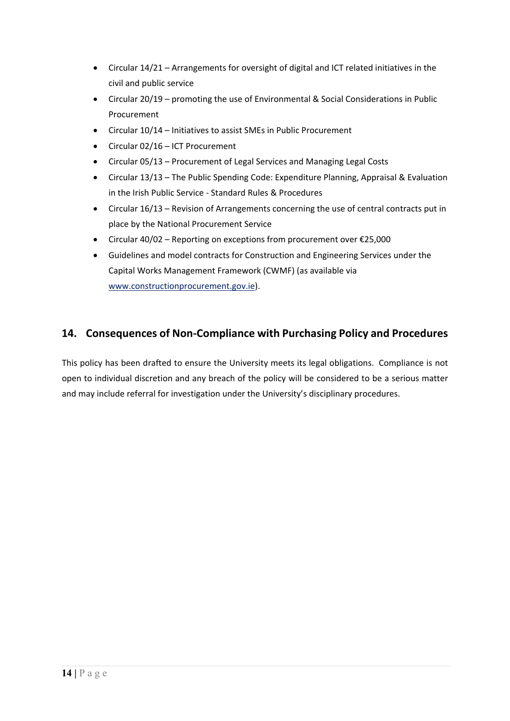- Circular 14/21 Arrangements for oversight of digital and ICT related initiatives in the civil and public service
- Circular 20/19 promoting the use of Environmental & Social Considerations in Public Procurement
- Circular 10/14 Initiatives to assist SMEs in Public Procurement
- Circular 02/16 ICT Procurement
- Circular 05/13 Procurement of Legal Services and Managing Legal Costs
- Circular 13/13 The Public Spending Code: Expenditure Planning, Appraisal & Evaluation in the Irish Public Service ‐ Standard Rules & Procedures
- Circular 16/13 Revision of Arrangements concerning the use of central contracts put in place by the National Procurement Service
- Circular 40/02 Reporting on exceptions from procurement over  $£25,000$
- Guidelines and model contracts for Construction and Engineering Services under the Capital Works Management Framework (CWMF) (as available via www.constructionprocurement.gov.ie).

### **14. Consequences of Non‐Compliance with Purchasing Policy and Procedures**

This policy has been drafted to ensure the University meets its legal obligations. Compliance is not open to individual discretion and any breach of the policy will be considered to be a serious matter and may include referral for investigation under the University's disciplinary procedures.